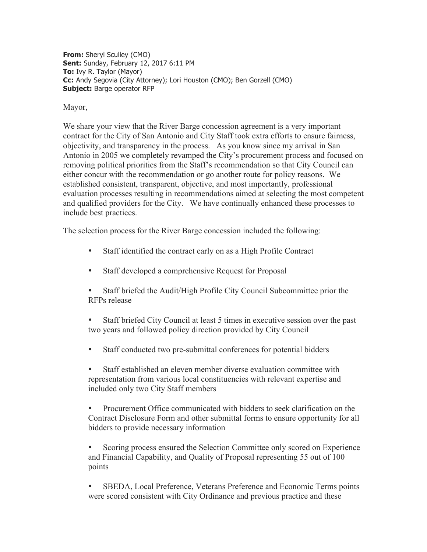**From:** Sheryl Sculley (CMO) **Sent:** Sunday, February 12, 2017 6:11 PM **To:** Ivy R. Taylor (Mayor) **Cc:** Andy Segovia (City Attorney); Lori Houston (CMO); Ben Gorzell (CMO) **Subject:** Barge operator RFP

Mayor,

We share your view that the River Barge concession agreement is a very important contract for the City of San Antonio and City Staff took extra efforts to ensure fairness, objectivity, and transparency in the process. As you know since my arrival in San Antonio in 2005 we completely revamped the City's procurement process and focused on removing political priorities from the Staff's recommendation so that City Council can either concur with the recommendation or go another route for policy reasons. We established consistent, transparent, objective, and most importantly, professional evaluation processes resulting in recommendations aimed at selecting the most competent and qualified providers for the City. We have continually enhanced these processes to include best practices.

The selection process for the River Barge concession included the following:

- Staff identified the contract early on as a High Profile Contract
- Staff developed a comprehensive Request for Proposal
- Staff briefed the Audit/High Profile City Council Subcommittee prior the RFPs release
- Staff briefed City Council at least 5 times in executive session over the past two years and followed policy direction provided by City Council
- Staff conducted two pre-submittal conferences for potential bidders
- Staff established an eleven member diverse evaluation committee with representation from various local constituencies with relevant expertise and included only two City Staff members
- Procurement Office communicated with bidders to seek clarification on the Contract Disclosure Form and other submittal forms to ensure opportunity for all bidders to provide necessary information

• Scoring process ensured the Selection Committee only scored on Experience and Financial Capability, and Quality of Proposal representing 55 out of 100 points

• SBEDA, Local Preference, Veterans Preference and Economic Terms points were scored consistent with City Ordinance and previous practice and these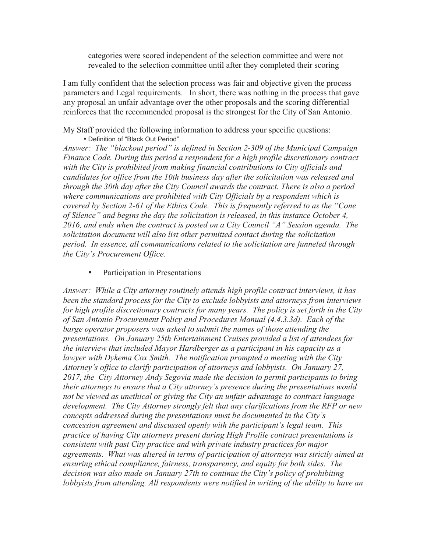categories were scored independent of the selection committee and were not revealed to the selection committee until after they completed their scoring

I am fully confident that the selection process was fair and objective given the process parameters and Legal requirements. In short, there was nothing in the process that gave any proposal an unfair advantage over the other proposals and the scoring differential reinforces that the recommended proposal is the strongest for the City of San Antonio.

My Staff provided the following information to address your specific questions: • Definition of "Black Out Period"

*Answer: The "blackout period" is defined in Section 2-309 of the Municipal Campaign Finance Code. During this period a respondent for a high profile discretionary contract with the City is prohibited from making financial contributions to City officials and candidates for office from the 10th business day after the solicitation was released and through the 30th day after the City Council awards the contract. There is also a period where communications are prohibited with City Officials by a respondent which is covered by Section 2-61 of the Ethics Code. This is frequently referred to as the "Cone of Silence" and begins the day the solicitation is released, in this instance October 4, 2016, and ends when the contract is posted on a City Council "A" Session agenda. The solicitation document will also list other permitted contact during the solicitation period. In essence, all communications related to the solicitation are funneled through the City's Procurement Office.*

Participation in Presentations

*Answer: While a City attorney routinely attends high profile contract interviews, it has been the standard process for the City to exclude lobbyists and attorneys from interviews for high profile discretionary contracts for many years. The policy is set forth in the City of San Antonio Procurement Policy and Procedures Manual (4.4.3.3d). Each of the barge operator proposers was asked to submit the names of those attending the presentations. On January 25th Entertainment Cruises provided a list of attendees for the interview that included Mayor Hardberger as a participant in his capacity as a lawyer with Dykema Cox Smith. The notification prompted a meeting with the City Attorney's office to clarify participation of attorneys and lobbyists. On January 27, 2017, the City Attorney Andy Segovia made the decision to permit participants to bring their attorneys to ensure that a City attorney's presence during the presentations would not be viewed as unethical or giving the City an unfair advantage to contract language development. The City Attorney strongly felt that any clarifications from the RFP or new concepts addressed during the presentations must be documented in the City's concession agreement and discussed openly with the participant's legal team. This practice of having City attorneys present during High Profile contract presentations is consistent with past City practice and with private industry practices for major agreements. What was altered in terms of participation of attorneys was strictly aimed at ensuring ethical compliance, fairness, transparency, and equity for both sides. The decision was also made on January 27th to continue the City's policy of prohibiting lobbyists from attending. All respondents were notified in writing of the ability to have an*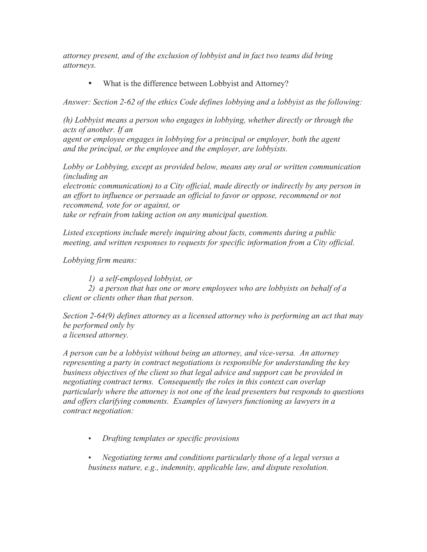*attorney present, and of the exclusion of lobbyist and in fact two teams did bring attorneys.*

• What is the difference between Lobbyist and Attorney?

*Answer: Section 2-62 of the ethics Code defines lobbying and a lobbyist as the following:*

*(h) Lobbyist means a person who engages in lobbying, whether directly or through the acts of another. If an*

*agent or employee engages in lobbying for a principal or employer, both the agent and the principal, or the employee and the employer, are lobbyists.*

*Lobby or Lobbying, except as provided below, means any oral or written communication (including an*

*electronic communication) to a City official, made directly or indirectly by any person in an effort to influence or persuade an official to favor or oppose, recommend or not recommend, vote for or against, or take or refrain from taking action on any municipal question.* 

*Listed exceptions include merely inquiring about facts, comments during a public meeting, and written responses to requests for specific information from a City official.*

*Lobbying firm means:*

*1) a self-employed lobbyist, or*

*2) a person that has one or more employees who are lobbyists on behalf of a client or clients other than that person.*

*Section 2-64(9) defines attorney as a licensed attorney who is performing an act that may be performed only by a licensed attorney.*

*A person can be a lobbyist without being an attorney, and vice-versa. An attorney representing a party in contract negotiations is responsible for understanding the key business objectives of the client so that legal advice and support can be provided in negotiating contract terms. Consequently the roles in this context can overlap particularly where the attorney is not one of the lead presenters but responds to questions and offers clarifying comments. Examples of lawyers functioning as lawyers in a contract negotiation:*

• *Drafting templates or specific provisions*

• *Negotiating terms and conditions particularly those of a legal versus a business nature, e.g., indemnity, applicable law, and dispute resolution.*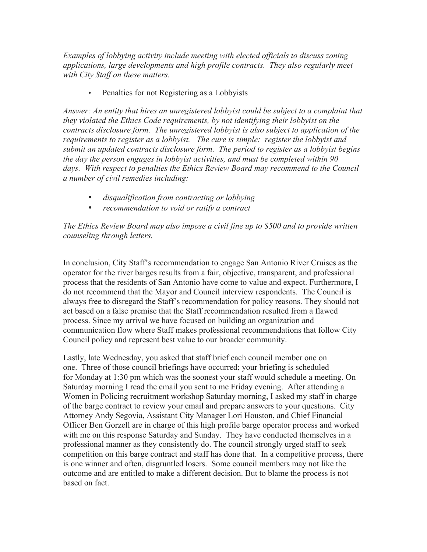*Examples of lobbying activity include meeting with elected officials to discuss zoning applications, large developments and high profile contracts. They also regularly meet with City Staff on these matters.*

• Penalties for not Registering as a Lobbyists

*Answer: An entity that hires an unregistered lobbyist could be subject to a complaint that they violated the Ethics Code requirements, by not identifying their lobbyist on the contracts disclosure form. The unregistered lobbyist is also subject to application of the requirements to register as a lobbyist. The cure is simple: register the lobbyist and submit an updated contracts disclosure form. The period to register as a lobbyist begins the day the person engages in lobbyist activities, and must be completed within 90*  days. With respect to penalties the Ethics Review Board may recommend to the Council *a number of civil remedies including:*

- *disqualification from contracting or lobbying*
- *recommendation to void or ratify a contract*

*The Ethics Review Board may also impose a civil fine up to \$500 and to provide written counseling through letters.*

In conclusion, City Staff's recommendation to engage San Antonio River Cruises as the operator for the river barges results from a fair, objective, transparent, and professional process that the residents of San Antonio have come to value and expect. Furthermore, I do not recommend that the Mayor and Council interview respondents. The Council is always free to disregard the Staff's recommendation for policy reasons. They should not act based on a false premise that the Staff recommendation resulted from a flawed process. Since my arrival we have focused on building an organization and communication flow where Staff makes professional recommendations that follow City Council policy and represent best value to our broader community.

Lastly, late Wednesday, you asked that staff brief each council member one on one. Three of those council briefings have occurred; your briefing is scheduled for Monday at 1:30 pm which was the soonest your staff would schedule a meeting. On Saturday morning I read the email you sent to me Friday evening. After attending a Women in Policing recruitment workshop Saturday morning, I asked my staff in charge of the barge contract to review your email and prepare answers to your questions. City Attorney Andy Segovia, Assistant City Manager Lori Houston, and Chief Financial Officer Ben Gorzell are in charge of this high profile barge operator process and worked with me on this response Saturday and Sunday. They have conducted themselves in a professional manner as they consistently do. The council strongly urged staff to seek competition on this barge contract and staff has done that. In a competitive process, there is one winner and often, disgruntled losers. Some council members may not like the outcome and are entitled to make a different decision. But to blame the process is not based on fact.